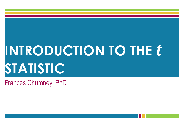# **INTRODUCTION TO THE** *t* **STATISTIC**

Frances Chumney, PhD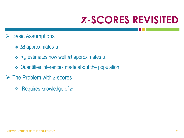### *z***-SCORES REVISITED**

- $\triangleright$  Basic Assumptions
	- *M* approximates μ
	- *σ<sup>M</sup>* estimates how well *M* approximates μ
	- Quantifies inferences made about the population
- The Problem with *z*-scores
	- Requires knowledge of *σ*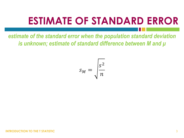### **ESTIMATE OF STANDARD ERROR**

*estimate of the standard error when the population standard deviation is unknown; estimate of standard difference between M and μ*

$$
s_M = \sqrt{\frac{s^2}{n}}
$$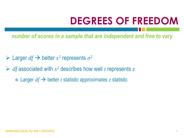### **DEGREES OF FREEDOM**

*number of scores in a sample that are independent and free to vary*

- $\triangleright$  Larger *df*  $\rightarrow$  better *s*<sup>2</sup> represents  $\sigma$ <sup>2</sup>
- $\triangleright$  *df* associated with  $s^2$  describes how well *t* represents *z* 
	- $\div$  Larger  $df \rightarrow$  better *t* statistic approximates *z* statistic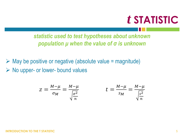### *t* **STATISTIC**

*statistic used to test hypotheses about unknown population μ when the value of σ is unknown*

 $\triangleright$  May be positive or negative (absolute value = magnitude)  $\triangleright$  No upper- or lower- bound values

$$
z = \frac{M-\mu}{\sigma_M} = \frac{M-\mu}{\sqrt{\frac{\sigma^2}{n}}} \qquad \qquad t = \frac{M-\mu}{s_M} = \frac{M-\mu}{\sqrt{\frac{s^2}{n}}}
$$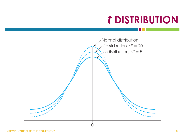### *t* **DISTRIBUTION**



**INTRODUCTION TO THE T STATISTIC** 6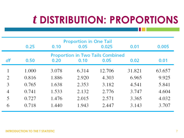### *t* **DISTRIBUTION: PROPORTIONS**

|                                                                                               | 0.25  | 0.10  | <b>Proportion in One Tail</b><br>0.05 | 0.025  | 0.01   | 0.005  |
|-----------------------------------------------------------------------------------------------|-------|-------|---------------------------------------|--------|--------|--------|
| <b>Proportion in Two Tails Combined</b><br>df<br>0.50<br>0.10<br>0.05<br>0.02<br>0.01<br>0.20 |       |       |                                       |        |        |        |
|                                                                                               | 1.000 | 3.078 | 6.314                                 | 12.706 | 31.821 | 63.657 |
| 2                                                                                             | 0.816 | 1.886 | 2.920                                 | 4.303  | 6.965  | 9.925  |
| 3                                                                                             | 0.765 | 1.638 | 2.353                                 | 3.182  | 4.541  | 5.841  |
| 4                                                                                             | 0.741 | 1.533 | 2.132                                 | 2.776  | 3.747  | 4.604  |
| 5                                                                                             | 0.727 | 1.476 | 2.015                                 | 2.571  | 3.365  | 4.032  |
| 6                                                                                             | 0.718 | 1.440 | 1.943                                 | 2.447  | 3.143  | 3.707  |

#### **INTRODUCTION TO THE T STATISTIC**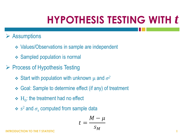### **HYPOTHESIS TESTING WITH** *t*

#### $\triangleright$  Assumptions

- **❖ Values/Observations in sample are independent**
- **❖ Sampled population is normal**
- ▶ Process of Hypothesis Testing
	- $\div$  Start with population with unknown  $\mu$  and  $\sigma^2$
	- Goal: Sample to determine effect (if any) of treatment
	- $\div$  H<sub>0</sub>: the treatment had no effect
	- $\div s^2$  and  $\sigma_s$  computed from sample data

$$
t = \frac{M - \mu}{s_M}
$$

**INTRODUCTION TO THE T STATISTIC** 8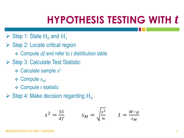### **HYPOTHESIS TESTING WITH** *t*

- $\triangleright$  Step 1: State  $H_0$  and  $H_1$
- $\triangleright$  Step 2: Locate critical region
	- Compute *df* and refer to *t* distribution table
- $\triangleright$  Step 3: Calculate Test Statistic
	- Calculate sample *s* 2
	- $\div$  Compute  $s_M$
	- Compute *t* statistic
- $\triangleright$  Step 4: Make decision regarding H<sub>0</sub>

$$
s^2 = \frac{ss}{df} \qquad s_M = \sqrt{\frac{s^2}{n}} \qquad t = \frac{M-\mu}{s_M}
$$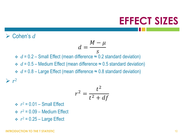#### **EFFECT SIZES**

#### Cohen's *d*

 $\triangleright$   $r^2$ 

$$
d=\frac{M-\mu}{s}
$$

 $\div d = 0.2$  – Small Effect (mean difference  $\approx 0.2$  standard deviation)

 $\div d = 0.5$  – Medium Effect (mean difference  $\approx 0.5$  standard deviation)

 $\div d = 0.8$  – Large Effect (mean difference  $\approx 0.8$  standard deviation)

$$
r^2 = \frac{t^2}{t^2 + df}
$$

 $\div r^2 = 0.01$  – Small Effect

- $\div$   $r^2 = 0.09$  Medium Effect
- $\div r^2 = 0.25 \text{Large Effect}$